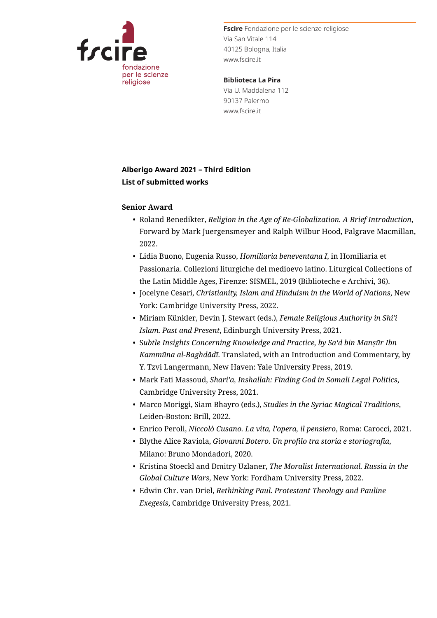

**Fscire** Fondazione per le scienze religiose Via San Vitale 114 40125 Bologna, Italia www.fscire.it

**Biblioteca La Pira** Via U. Maddalena 112 90137 Palermo www.fscire.it

## **Alberigo Award 2021 – Third Edition List of submitted works**

## **Senior Award**

- *•* Roland Benedikter, *Religion in the Age of Re-Globalization. A Brief Introduction*, Forward by Mark Juergensmeyer and Ralph Wilbur Hood, Palgrave Macmillan, 2022.
- *•* Lidia Buono, Eugenia Russo, *Homiliaria beneventana I*, in Homiliaria et Passionaria. Collezioni liturgiche del medioevo latino. Liturgical Collections of the Latin Middle Ages, Firenze: SISMEL, 2019 (Biblioteche e Archivi, 36).
- *•* Jocelyne Cesari, *Christianity, Islam and Hinduism in the World of Nations*, New York: Cambridge University Press, 2022.
- *•* Miriam Künkler, Devin J. Stewart (eds.), *Female Religious Authority in Shi'i Islam. Past and Present*, Edinburgh University Press, 2021.
- *•* S*ubtle Insights Concerning Knowledge and Practice, by Sa'd bin Manṣūr Ibn Kammūna al-Baghdādī*. Translated, with an Introduction and Commentary, by Y. Tzvi Langermann, New Haven: Yale University Press, 2019.
- *•* Mark Fati Massoud, *Shari'a, Inshallah: Finding God in Somali Legal Politics*, Cambridge University Press, 2021.
- *•* Marco Moriggi, Siam Bhayro (eds.), *Studies in the Syriac Magical Traditions*, Leiden-Boston: Brill, 2022.
- *•* Enrico Peroli, *Niccolò Cusano. La vita, l'opera, il pensiero*, Roma: Carocci, 2021.
- *•* Blythe Alice Raviola, *Giovanni Botero. Un profilo tra storia e storiografia*, Milano: Bruno Mondadori, 2020.
- *•* Kristina Stoeckl and Dmitry Uzlaner, *The Moralist International. Russia in the Global Culture Wars*, New York: Fordham University Press, 2022.
- *•* Edwin Chr. van Driel, *Rethinking Paul. Protestant Theology and Pauline Exegesis*, Cambridge University Press, 2021.